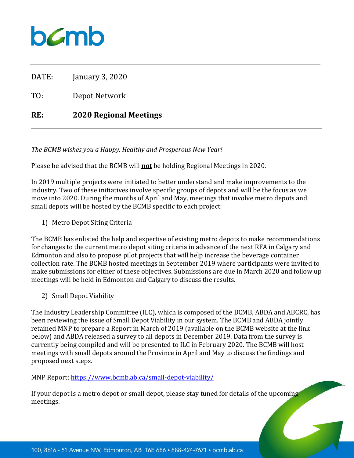## $b$ *C*mb

DATE: January 3, 2020

TO: Depot Network

## **RE: 2020 Regional Meetings**

*The BCMB wishes you a Happy, Healthy and Prosperous New Year!*

Please be advised that the BCMB will **not** be holding Regional Meetings in 2020.

In 2019 multiple projects were initiated to better understand and make improvements to the industry. Two of these initiatives involve specific groups of depots and will be the focus as we move into 2020. During the months of April and May, meetings that involve metro depots and small depots will be hosted by the BCMB specific to each project:

1) Metro Depot Siting Criteria

The BCMB has enlisted the help and expertise of existing metro depots to make recommendations for changes to the current metro depot siting criteria in advance of the next RFA in Calgary and Edmonton and also to propose pilot projects that will help increase the beverage container collection rate. The BCMB hosted meetings in September 2019 where participants were invited to make submissions for either of these objectives. Submissions are due in March 2020 and follow up meetings will be held in Edmonton and Calgary to discuss the results.

2) Small Depot Viability

The Industry Leadership Committee (ILC), which is composed of the BCMB, ABDA and ABCRC, has been reviewing the issue of Small Depot Viability in our system. The BCMB and ABDA jointly retained MNP to prepare a Report in March of 2019 (available on the BCMB website at the link below) and ABDA released a survey to all depots in December 2019. Data from the survey is currently being compiled and will be presented to ILC in February 2020. The BCMB will host meetings with small depots around the Province in April and May to discuss the findings and proposed next steps.

MNP Report[: https://www.bcmb.ab.ca/small-depot-viability/](https://www.bcmb.ab.ca/small-depot-viability/)

If your depot is a metro depot or small depot, please stay tuned for details of the upcoming meetings.